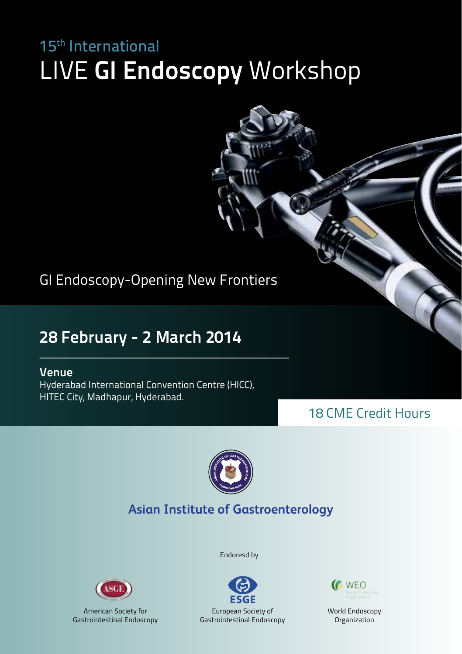# LIVE **GI Endoscopy** Workshop 15th International

GI Endoscopy-Opening New Frontiers

## **28 February - 2 March 2014**

#### **Venue**

Hyderabad International Convention Centre (HICC), HITEC City, Madhapur, Hyderabad.

## 18 CME Credit Hours



### **Asian Institute of Gastroenterology**



American Society for Gastrointestinal Endoscopy Endoresd by





World Endoscopy Organization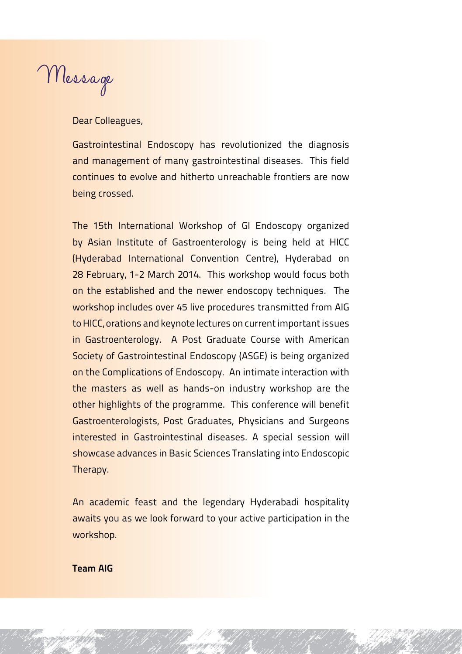Message

Dear Colleagues,

Gastrointestinal Endoscopy has revolutionized the diagnosis and management of many gastrointestinal diseases. This field continues to evolve and hitherto unreachable frontiers are now being crossed.

The 15th International Workshop of GI Endoscopy organized by Asian Institute of Gastroenterology is being held at HICC (Hyderabad International Convention Centre), Hyderabad on 28 February, 1-2 March 2014. This workshop would focus both on the established and the newer endoscopy techniques. The workshop includes over 45 live procedures transmitted from AIG to HICC, orations and keynote lectures on current important issues in Gastroenterology. A Post Graduate Course with American Society of Gastrointestinal Endoscopy (ASGE) is being organized on the Complications of Endoscopy. An intimate interaction with the masters as well as hands-on industry workshop are the other highlights of the programme. This conference will benefit Gastroenterologists, Post Graduates, Physicians and Surgeons interested in Gastrointestinal diseases. A special session will showcase advances in Basic Sciences Translating into Endoscopic Therapy.

An academic feast and the legendary Hyderabadi hospitality awaits you as we look forward to your active participation in the workshop.

**Team AIG**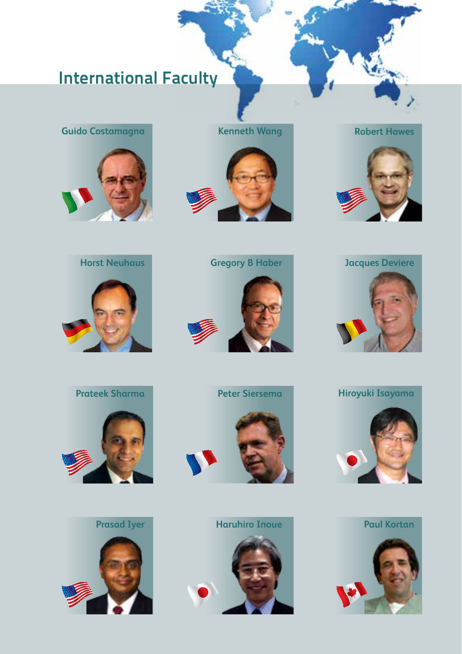# **International Faculty**

**Guido Costamagna Kenneth Wang**





**Robert Hawes**



















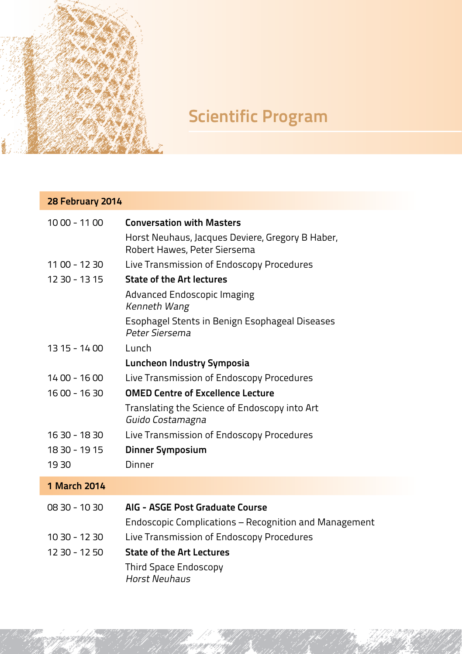

# **Scientific Program**

## **28 February 2014**

| 10 00 - 11 00       | <b>Conversation with Masters</b>                                                 |
|---------------------|----------------------------------------------------------------------------------|
|                     | Horst Neuhaus, Jacques Deviere, Gregory B Haber,<br>Robert Hawes, Peter Siersema |
| 11 00 - 12 30       | Live Transmission of Endoscopy Procedures                                        |
| 12 30 - 13 15       | <b>State of the Art lectures</b>                                                 |
|                     | Advanced Endoscopic Imaging<br>Kenneth Wang                                      |
|                     | Esophagel Stents in Benign Esophageal Diseases<br>Peter Siersema                 |
| 13 15 - 14 00       | Lunch                                                                            |
|                     | Luncheon Industry Symposia                                                       |
| $1400 - 1600$       | Live Transmission of Endoscopy Procedures                                        |
| 16 00 - 16 30       | <b>OMED Centre of Excellence Lecture</b>                                         |
|                     | Translating the Science of Endoscopy into Art<br>Guido Costamagna                |
| 16 30 - 18 30       | Live Transmission of Endoscopy Procedures                                        |
| 18 30 - 19 15       | <b>Dinner Symposium</b>                                                          |
| 19 30               | Dinner                                                                           |
| <b>1 March 2014</b> |                                                                                  |
|                     |                                                                                  |

| 08 30 - 10 30 | AIG - ASGE Post Graduate Course                       |
|---------------|-------------------------------------------------------|
|               | Endoscopic Complications – Recognition and Management |
| 10 30 - 12 30 | Live Transmission of Endoscopy Procedures             |
| 12 30 - 12 50 | <b>State of the Art Lectures</b>                      |
|               | Third Space Endoscopy<br>Horst Neuhaus                |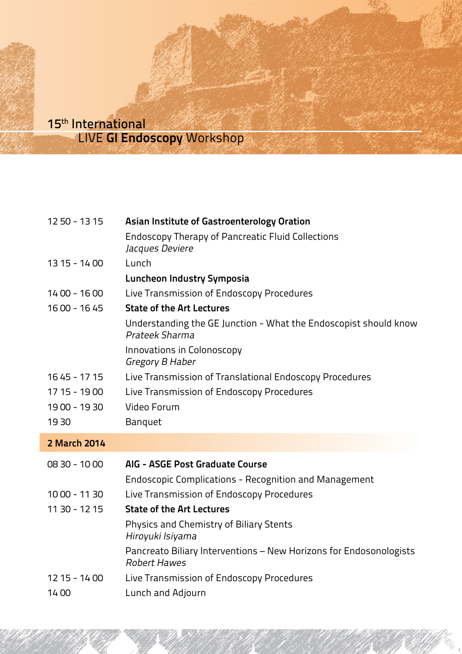#### LIVE **GI Endoscopy** Workshop 15th International

| 12 50 - 13 15 | Asian Institute of Gastroenterology Oration<br><b>Endoscopy Therapy of Pancreatic Fluid Collections</b> |  |  |  |
|---------------|---------------------------------------------------------------------------------------------------------|--|--|--|
|               | Jacques Deviere                                                                                         |  |  |  |
| 13 15 - 14 00 | Lunch                                                                                                   |  |  |  |
|               | Luncheon Industry Symposia                                                                              |  |  |  |
| $1400 - 1600$ | Live Transmission of Endoscopy Procedures                                                               |  |  |  |
| 16 00 - 16 45 | <b>State of the Art Lectures</b>                                                                        |  |  |  |
|               | Understanding the GE Junction - What the Endoscopist should know<br>Prateek Sharma                      |  |  |  |
|               | Innovations in Colonoscopy<br>Gregory B Haber                                                           |  |  |  |
| 16 45 - 17 15 | Live Transmission of Translational Endoscopy Procedures                                                 |  |  |  |
| 17 15 - 19 00 | Live Transmission of Endoscopy Procedures                                                               |  |  |  |
| 19 00 - 19 30 | Video Forum                                                                                             |  |  |  |
| 19 30         | Banquet                                                                                                 |  |  |  |
| 2 March 2014  |                                                                                                         |  |  |  |
| 08 30 - 10 00 | AIG - ASGE Post Graduate Course                                                                         |  |  |  |
|               | <b>Endoscopic Complications - Recognition and Management</b>                                            |  |  |  |
| 10 00 - 11 30 | Live Transmission of Endoscopy Procedures                                                               |  |  |  |
| 11 30 - 12 15 | <b>State of the Art Lectures</b>                                                                        |  |  |  |
|               | Physics and Chemistry of Biliary Stents<br>Hiroyuki Isiyama                                             |  |  |  |
|               | Pancreato Biliary Interventions - New Horizons for Endosonologists<br><b>Robert Hawes</b>               |  |  |  |
| 12 15 - 14 00 | Live Transmission of Endoscopy Procedures                                                               |  |  |  |
| 1400          | Lunch and Adjourn                                                                                       |  |  |  |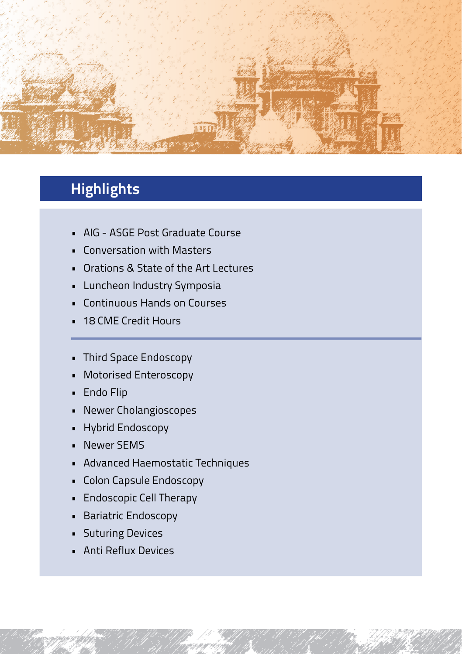

## **Highlights**

- • AIG ASGE Post Graduate Course
- • Conversation with Masters
- • Orations & State of the Art Lectures
- • Luncheon Industry Symposia
- • Continuous Hands on Courses
- • 18 CME Credit Hours
- • Third Space Endoscopy
- • Motorised Enteroscopy
- • Endo Flip
- • Newer Cholangioscopes
- • Hybrid Endoscopy
- • Newer SEMS
- • Advanced Haemostatic Techniques
- • Colon Capsule Endoscopy
- • Endoscopic Cell Therapy
- • Bariatric Endoscopy
- • Suturing Devices
- • Anti Reflux Devices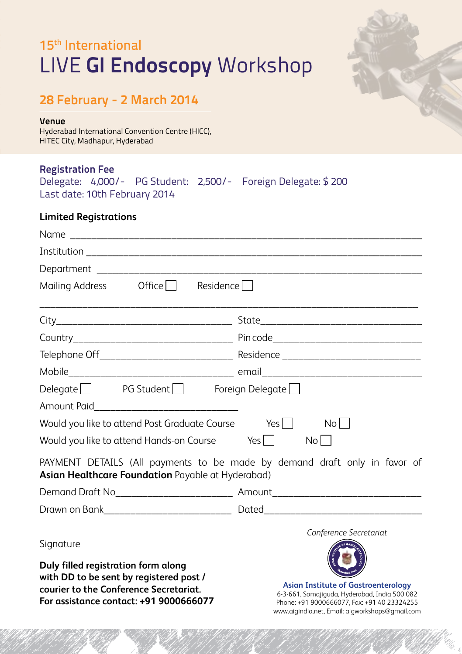# LIVE **GI Endoscopy** Workshop 15<sup>th</sup> International



#### **28 February - 2 March 2014**

#### **Venue**

Hyderabad International Convention Centre (HICC), HITEC City, Madhapur, Hyderabad

#### **Registration Fee**

|  |                               | Delegate: 4,000/- PG Student: 2,500/- Foreign Delegate: \$200 |
|--|-------------------------------|---------------------------------------------------------------|
|  | Last date: 10th February 2014 |                                                               |

#### **Limited Registrations**

| Mailing Address Office Residence                                                                                                                                   |                                                                                                                                            |
|--------------------------------------------------------------------------------------------------------------------------------------------------------------------|--------------------------------------------------------------------------------------------------------------------------------------------|
|                                                                                                                                                                    |                                                                                                                                            |
|                                                                                                                                                                    |                                                                                                                                            |
|                                                                                                                                                                    |                                                                                                                                            |
|                                                                                                                                                                    |                                                                                                                                            |
| $Delegate$ PG Student Foreign Delegate $\Box$                                                                                                                      |                                                                                                                                            |
|                                                                                                                                                                    |                                                                                                                                            |
| Would you like to attend Post Graduate Course Yes $\Box$ No $\Box$                                                                                                 |                                                                                                                                            |
| Would you like to attend Hands-on Course Yes $\Box$ No $\Box$                                                                                                      |                                                                                                                                            |
| Asian Healthcare Foundation Payable at Hyderabad)                                                                                                                  | PAYMENT DETAILS (All payments to be made by demand draft only in favor of                                                                  |
|                                                                                                                                                                    |                                                                                                                                            |
|                                                                                                                                                                    |                                                                                                                                            |
| Signature                                                                                                                                                          | Conference Secretariat                                                                                                                     |
| Duly filled registration form along<br>with DD to be sent by registered post /<br>courier to the Conference Secretariat.<br>For assistance contact: +91 9000666077 | <b>Asian Institute of Gastroenterology</b><br>6-3-661, Somajiguda, Hyderabad, India 500 082<br>Phone: +91 9000666077. Fax: +91 40 23324255 |

www.aigindia.net, Email: aigworkshops@gmail.com